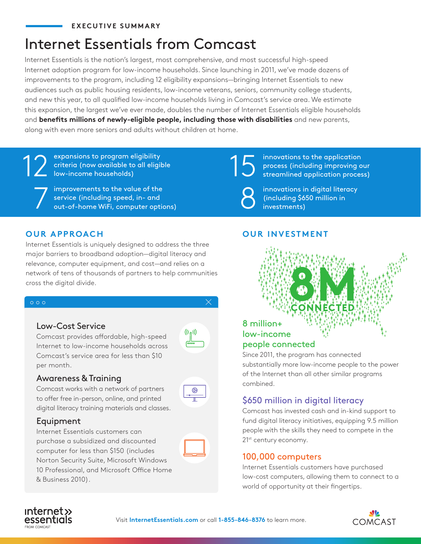### **EXECUTIVE SUMMARY**

# Internet Essentials from Comcast

Internet Essentials is the nation's largest, most comprehensive, and most successful high-speed Internet adoption program for low-income households. Since launching in 2011, we've made dozens of improvements to the program, including 12 eligibility expansions—bringing Internet Essentials to new audiences such as public housing residents, low-income veterans, seniors, community college students, and new this year, to all qualified low-income households living in Comcast's service area. We estimate this expansion, the largest we've ever made, doubles the number of Internet Essentials eligible households and **benefits millions of newly-eligible people, including those with disabilities** and new parents, along with even more seniors and adults without children at home.

12 expansions to program eligibility<br>
low-income households)<br>
S criteria (now available to all eligible low-income households)

Tumprovements to the value of the<br>
service (including speed, in- and<br>
out-of-home WiFi, computer options) service (including speed, in- and

innovations to the application process (including improving our streamlined application process)

innovations in digital literacy (including \$650 million in investments)

## **OUR APPROACH**

Internet Essentials is uniquely designed to address the three major barriers to broadband adoption—digital literacy and relevance, computer equipment, and cost—and relies on a network of tens of thousands of partners to help communities cross the digital divide.

#### $\circ \circ \circ$

**Low-Cost Service**<br>Comcast provides affordable, higl<br>Internet to low-income householc<br>Comcast's service area for less th<br>per month.<br>**Awareness & Training**<br>Comcast works with a network of p<br>to offer free in-person, online, Comcast provides affordable, high-speed Internet to low-income households across Comcast's service area for less than \$10 per month.

 $^{\circledR}$ 

## Awareness & Training

**Created by rama** digital literacy training materials and classes. Comcast works with a network of partners to offer free in-person, online, and printed



Internet Essentials customers can purchase a subsidized and discounted computer for less than \$150 (includes Norton Security Suite, Microsoft Windows 10 Professional, and Microsoft Office Home & Business 2010).



## **OUR INVESTMENT**

# **8M CONNECTED** 8 million+ low-income people connected

Since 2011, the program has connected substantially more low-income people to the power of the Internet than all other similar programs combined.

## \$650 million in digital literacy

Comcast has invested cash and in-kind support to fund digital literacy initiatives, equipping 9.5 million people with the skills they need to compete in the 21<sup>st</sup> century economy.

### 100,000 computers

Internet Essentials customers have purchased low-cost computers, allowing them to connect to a world of opportunity at their fingertips.